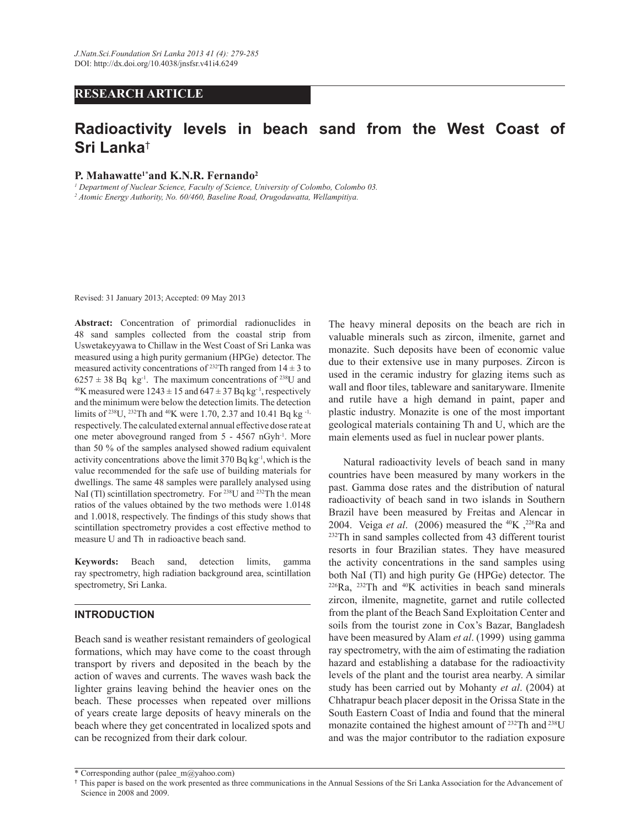## **RESEARCH ARTICLE**

# **Radioactivity levels in beach sand from the West Coast of Sri Lanka**†

#### **P. Mahawatte<sup>1</sup>**\***and K.N.R. Fernando<sup>2</sup>**

*1 Department of Nuclear Science, Faculty of Science, University of Colombo, Colombo 03.*

*2 Atomic Energy Authority, No. 60/460, Baseline Road, Orugodawatta, Wellampitiya.*

Revised: 31 January 2013; Accepted: 09 May 2013

**Abstract:** Concentration of primordial radionuclides in 48 sand samples collected from the coastal strip from Uswetakeyyawa to Chillaw in the West Coast of Sri Lanka was measured using a high purity germanium (HPGe) detector. The measured activity concentrations of <sup>232</sup>Th ranged from  $14 \pm 3$  to  $6257 \pm 38$  Bq kg<sup>-1</sup>. The maximum concentrations of <sup>238</sup>U and <sup>40</sup>K measured were  $1243 \pm 15$  and  $647 \pm 37$  Bq kg<sup>-1</sup>, respectively and the minimum were below the detection limits. The detection limits of <sup>238</sup>U, <sup>232</sup>Th and <sup>40</sup>K were 1.70, 2.37 and 10.41 Bq kg<sup>-1,</sup> respectively. The calculated external annual effective dose rate at one meter aboveground ranged from 5 - 4567 nGyh-1. More than 50 % of the samples analysed showed radium equivalent activity concentrations above the limit  $370 Bq kg<sup>-1</sup>$ , which is the value recommended for the safe use of building materials for dwellings. The same 48 samples were parallely analysed using NaI (Tl) scintillation spectrometry. For <sup>238</sup>U and <sup>232</sup>Th the mean ratios of the values obtained by the two methods were 1.0148 and 1.0018, respectively. The findings of this study shows that scintillation spectrometry provides a cost effective method to measure U and Th in radioactive beach sand.

**Keywords:** Beach sand, detection limits, gamma ray spectrometry, high radiation background area, scintillation spectrometry, Sri Lanka.

## **INTRODUCTION**

Beach sand is weather resistant remainders of geological formations, which may have come to the coast through transport by rivers and deposited in the beach by the action of waves and currents. The waves wash back the lighter grains leaving behind the heavier ones on the beach. These processes when repeated over millions of years create large deposits of heavy minerals on the beach where they get concentrated in localized spots and can be recognized from their dark colour.

The heavy mineral deposits on the beach are rich in valuable minerals such as zircon, ilmenite, garnet and monazite. Such deposits have been of economic value due to their extensive use in many purposes. Zircon is used in the ceramic industry for glazing items such as wall and floor tiles, tableware and sanitaryware. Ilmenite and rutile have a high demand in paint, paper and plastic industry. Monazite is one of the most important geological materials containing Th and U, which are the main elements used as fuel in nuclear power plants.

 Natural radioactivity levels of beach sand in many countries have been measured by many workers in the past. Gamma dose rates and the distribution of natural radioactivity of beach sand in two islands in Southern Brazil have been measured by Freitas and Alencar in 2004. Veiga *et al.* (2006) measured the <sup>40</sup>K,<sup>226</sup>Ra and <sup>232</sup>Th in sand samples collected from 43 different tourist resorts in four Brazilian states. They have measured the activity concentrations in the sand samples using both NaI (Tl) and high purity Ge (HPGe) detector. The  $226$ Ra,  $232$ Th and  $40$ K activities in beach sand minerals zircon, ilmenite, magnetite, garnet and rutile collected from the plant of the Beach Sand Exploitation Center and soils from the tourist zone in Cox's Bazar, Bangladesh have been measured by Alam *et al*. (1999) using gamma ray spectrometry, with the aim of estimating the radiation hazard and establishing a database for the radioactivity levels of the plant and the tourist area nearby. A similar study has been carried out by Mohanty *et al*. (2004) at Chhatrapur beach placer deposit in the Orissa State in the South Eastern Coast of India and found that the mineral monazite contained the highest amount of <sup>232</sup>Th and <sup>238</sup>U and was the major contributor to the radiation exposure

<sup>\*</sup> Corresponding author (palee\_m@yahoo.com)

<sup>†</sup> This paper is based on the work presented as three communications in the Annual Sessions of the Sri Lanka Association for the Advancement of Science in 2008 and 2009.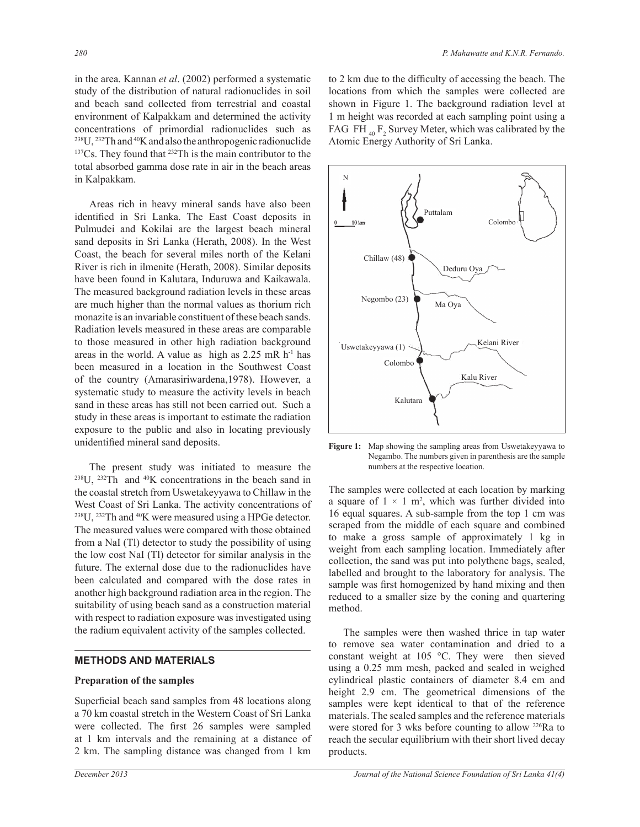in the area. Kannan *et al*. (2002) performed a systematic study of the distribution of natural radionuclides in soil and beach sand collected from terrestrial and coastal environment of Kalpakkam and determined the activity concentrations of primordial radionuclides such as <sup>238</sup>U, <sup>232</sup>Th and <sup>40</sup>K and also the anthropogenic radionuclide <sup>137</sup>Cs. They found that <sup>232</sup>Th is the main contributor to the total absorbed gamma dose rate in air in the beach areas in Kalpakkam.

 Areas rich in heavy mineral sands have also been identified in Sri Lanka. The East Coast deposits in Pulmudei and Kokilai are the largest beach mineral sand deposits in Sri Lanka (Herath, 2008). In the West Coast, the beach for several miles north of the Kelani River is rich in ilmenite (Herath, 2008). Similar deposits have been found in Kalutara, Induruwa and Kaikawala. The measured background radiation levels in these areas are much higher than the normal values as thorium rich monazite is an invariable constituent of these beach sands. Radiation levels measured in these areas are comparable to those measured in other high radiation background areas in the world. A value as high as  $2.25$  mR h<sup>-1</sup> has been measured in a location in the Southwest Coast of the country (Amarasiriwardena,1978). However, a systematic study to measure the activity levels in beach sand in these areas has still not been carried out. Such a study in these areas is important to estimate the radiation exposure to the public and also in locating previously unidentified mineral sand deposits.

 The present study was initiated to measure the <sup>238</sup>U, <sup>232</sup>Th and <sup>40</sup>K concentrations in the beach sand in the coastal stretch from Uswetakeyyawa to Chillaw in the West Coast of Sri Lanka. The activity concentrations of <sup>238</sup>U, <sup>232</sup>Th and <sup>40</sup>K were measured using a HPGe detector. The measured values were compared with those obtained from a NaI (Tl) detector to study the possibility of using the low cost NaI (Tl) detector for similar analysis in the future. The external dose due to the radionuclides have been calculated and compared with the dose rates in another high background radiation area in the region. The suitability of using beach sand as a construction material with respect to radiation exposure was investigated using the radium equivalent activity of the samples collected.

## **METHODS AND MATERIALS**

#### **Preparation of the samples**

Superficial beach sand samples from 48 locations along a 70 km coastal stretch in the Western Coast of Sri Lanka were collected. The first 26 samples were sampled at 1 km intervals and the remaining at a distance of 2 km. The sampling distance was changed from 1 km

to 2 km due to the difficulty of accessing the beach. The locations from which the samples were collected are shown in Figure 1. The background radiation level at 1 m height was recorded at each sampling point using a FAG FH  $_{40}$  F<sub>2</sub> Survey Meter, which was calibrated by the Atomic Energy Authority of Sri Lanka.



**Figure 1:** Map showing the sampling areas from Uswetakeyyawa to Negambo. The numbers given in parenthesis are the sample numbers at the respective location.

The samples were collected at each location by marking a square of  $1 \times 1$  m<sup>2</sup>, which was further divided into 16 equal squares. A sub-sample from the top 1 cm was scraped from the middle of each square and combined to make a gross sample of approximately 1 kg in weight from each sampling location. Immediately after collection, the sand was put into polythene bags, sealed, labelled and brought to the laboratory for analysis. The sample was first homogenized by hand mixing and then reduced to a smaller size by the coning and quartering method.

 The samples were then washed thrice in tap water to remove sea water contamination and dried to a constant weight at 105 °C. They were then sieved using a 0.25 mm mesh, packed and sealed in weighed cylindrical plastic containers of diameter 8.4 cm and height 2.9 cm. The geometrical dimensions of the samples were kept identical to that of the reference materials. The sealed samples and the reference materials were stored for 3 wks before counting to allow <sup>226</sup>Ra to reach the secular equilibrium with their short lived decay products.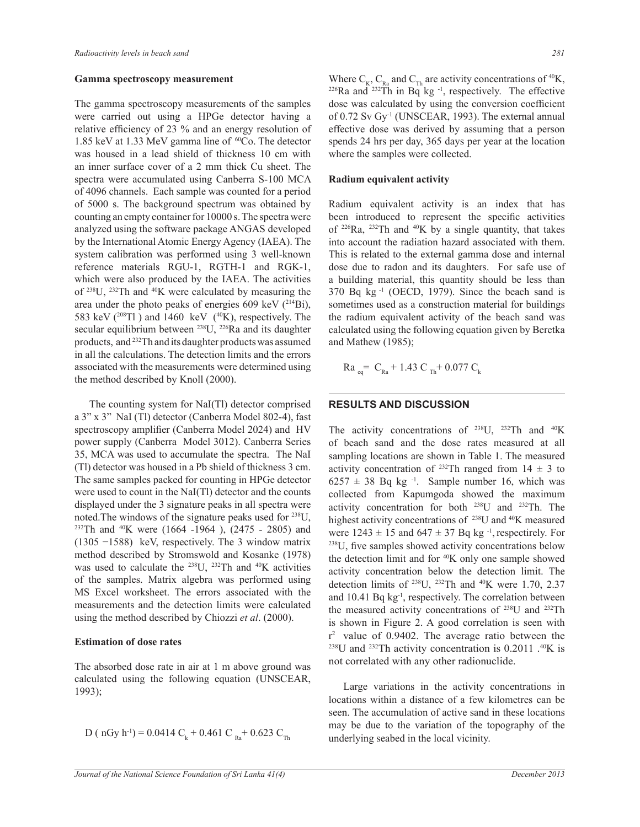#### **Gamma spectroscopy measurement**

The gamma spectroscopy measurements of the samples were carried out using a HPGe detector having a relative efficiency of 23 % and an energy resolution of 1.85 keV at 1.33 MeV gamma line of  ${}^{60}Co$ . The detector was housed in a lead shield of thickness 10 cm with an inner surface cover of a 2 mm thick Cu sheet. The spectra were accumulated using Canberra S-100 MCA of 4096 channels. Each sample was counted for a period of 5000 s. The background spectrum was obtained by counting an empty container for 10000 s. The spectra were analyzed using the software package ANGAS developed by the International Atomic Energy Agency (IAEA). The system calibration was performed using 3 well-known reference materials RGU-1, RGTH-1 and RGK-1, which were also produced by the IAEA. The activities of <sup>238</sup>U, <sup>232</sup>Th and <sup>40</sup>K were calculated by measuring the area under the photo peaks of energies 609 keV  $(^{214}Bi)$ , 583 keV ( $^{208}$ Tl) and 1460 keV ( $^{40}$ K), respectively. The secular equilibrium between <sup>238</sup>U, <sup>226</sup>Ra and its daughter products, and <sup>232</sup>Th and its daughter products was assumed in all the calculations. The detection limits and the errors associated with the measurements were determined using the method described by Knoll (2000).

 The counting system for NaI(Tl) detector comprised a 3" x 3" NaI (Tl) detector (Canberra Model 802-4), fast spectroscopy amplifier (Canberra Model 2024) and HV power supply (Canberra Model 3012). Canberra Series 35, MCA was used to accumulate the spectra. The NaI (Tl) detector was housed in a Pb shield of thickness 3 cm. The same samples packed for counting in HPGe detector were used to count in the NaI(Tl) detector and the counts displayed under the 3 signature peaks in all spectra were noted.The windows of the signature peaks used for <sup>238</sup>U, <sup>232</sup>Th and <sup>40</sup>K were (1664 -1964), (2475 - 2805) and (1305 −1588) keV, respectively. The 3 window matrix method described by Stromswold and Kosanke (1978) was used to calculate the <sup>238</sup>U, <sup>232</sup>Th and <sup>40</sup>K activities of the samples. Matrix algebra was performed using MS Excel worksheet. The errors associated with the measurements and the detection limits were calculated using the method described by Chiozzi *et al*. (2000).

### **Estimation of dose rates**

The absorbed dose rate in air at 1 m above ground was calculated using the following equation (UNSCEAR, 1993);

 D ( nGy h-1) = 0.0414 C<sup>k</sup> + 0.461 C Ra+ 0.623 CTh

Where  $C_{K}$ ,  $C_{R}$  and  $C_{Th}$  are activity concentrations of <sup>40</sup>K,  $226$ Ra and  $232$ Th in Bq kg<sup>-1</sup>, respectively. The effective dose was calculated by using the conversion coefficient of 0.72 Sv Gy<sup>-1</sup> (UNSCEAR, 1993). The external annual effective dose was derived by assuming that a person spends 24 hrs per day, 365 days per year at the location where the samples were collected.

#### **Radium equivalent activity**

Radium equivalent activity is an index that has been introduced to represent the specific activities of  $226Ra$ ,  $232Th$  and  $40K$  by a single quantity, that takes into account the radiation hazard associated with them. This is related to the external gamma dose and internal dose due to radon and its daughters. For safe use of a building material, this quantity should be less than 370 Bq kg -1 (OECD, 1979). Since the beach sand is sometimes used as a construction material for buildings the radium equivalent activity of the beach sand was calculated using the following equation given by Beretka and Mathew (1985);

$$
Ra_{eq} = C_{Ra} + 1.43 C_{Th} + 0.077 C_{k}
$$

#### **RESULTS AND DISCUSSION**

The activity concentrations of <sup>238</sup>U, <sup>232</sup>Th and <sup>40</sup>K of beach sand and the dose rates measured at all sampling locations are shown in Table 1. The measured activity concentration of <sup>232</sup>Th ranged from  $14 \pm 3$  to  $6257 \pm 38$  Bq kg<sup>-1</sup>. Sample number 16, which was collected from Kapumgoda showed the maximum activity concentration for both <sup>238</sup>U and <sup>232</sup>Th. The highest activity concentrations of <sup>238</sup>U and <sup>40</sup>K measured were  $1243 \pm 15$  and  $647 \pm 37$  Bq kg<sup>-1</sup>, respectirely. For <sup>238</sup>U, five samples showed activity concentrations below the detection limit and for <sup>40</sup>K only one sample showed activity concentration below the detection limit. The detection limits of  $^{238}$ U,  $^{232}$ Th and  $^{40}$ K were 1.70, 2.37 and 10.41 Bq kg<sup>-1</sup>, respectively. The correlation between the measured activity concentrations of <sup>238</sup>U and <sup>232</sup>Th is shown in Figure 2. A good correlation is seen with  $r<sup>2</sup>$  value of 0.9402. The average ratio between the  $238$ U and  $232$ Th activity concentration is 0.2011 .<sup>40</sup>K is not correlated with any other radionuclide.

Large variations in the activity concentrations in locations within a distance of a few kilometres can be seen. The accumulation of active sand in these locations may be due to the variation of the topography of the underlying seabed in the local vicinity.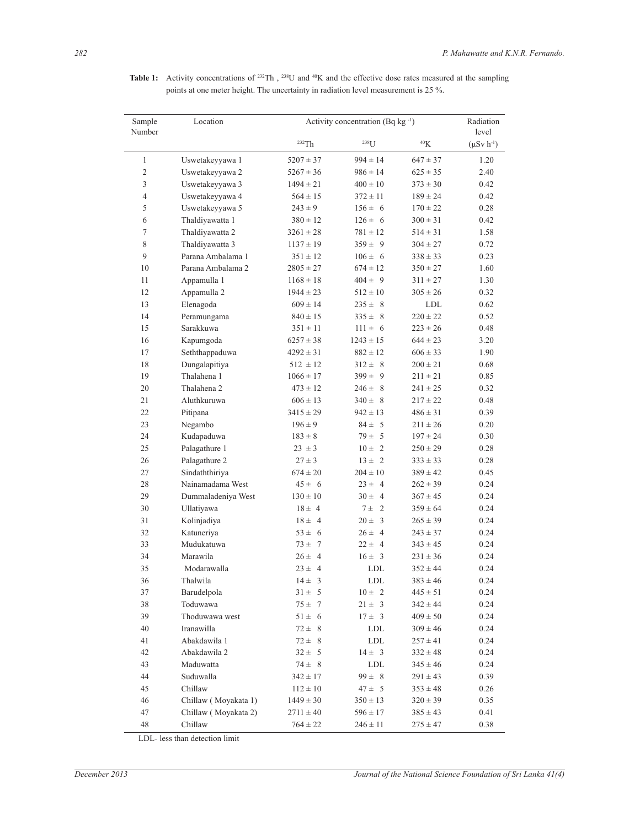| Sample<br>Number | Location               | Activity concentration (Bq kg -1) |                   |              | Radiation<br>level |
|------------------|------------------------|-----------------------------------|-------------------|--------------|--------------------|
|                  |                        | 232Th                             | 238 <sub>[J</sub> | $\rm ^{40}K$ | $(\mu Sv h^{-1})$  |
| $\mathbf{1}$     | Uswetakeyyawa 1        | $5207 \pm 37$                     | $994 \pm 14$      | $647 \pm 37$ | 1.20               |
| $\overline{2}$   | Uswetakeyyawa 2        | $5267 \pm 36$                     | $986 \pm 14$      | $625 \pm 35$ | 2.40               |
| $\mathfrak{Z}$   | Uswetakeyyawa 3        | $1494 \pm 21$                     | $400 \pm 10$      | $373 \pm 30$ | 0.42               |
| $\overline{4}$   | Uswetakeyyawa 4        | $564 \pm 15$                      | $372 \pm 11$      | $189 \pm 24$ | 0.42               |
| 5                | Uswetakeyyawa 5        | $243 \pm 9$                       | $156 \pm 6$       | $170 \pm 22$ | 0.28               |
| 6                | Thaldiyawatta 1        | $380 \pm 12$                      | $126 \pm 6$       | $300 \pm 31$ | 0.42               |
| $\tau$           | Thaldiyawatta 2        | $3261 \pm 28$                     | $781 \pm 12$      | $514 \pm 31$ | 1.58               |
| 8                | Thaldiyawatta 3        | $1137 \pm 19$                     | $359 \pm 9$       | $304 \pm 27$ | 0.72               |
| 9                | Parana Ambalama 1      | $351 \pm 12$                      | $106 \pm 6$       | $338 \pm 33$ | 0.23               |
| 10               | Parana Ambalama 2      | $2805 \pm 27$                     | $674 \pm 12$      | $350 \pm 27$ | 1.60               |
| 11               | Appamulla 1            | $1168 \pm 18$                     | $404 \pm 9$       | $311 \pm 27$ | 1.30               |
| 12               | Appamulla 2            | $1944 \pm 23$                     | $512 \pm 10$      | $305 \pm 26$ | 0.32               |
| 13               | Elenagoda              | $609 \pm 14$                      | $235 \pm 8$       | <b>LDL</b>   | 0.62               |
| 14               | Peramungama            | $840 \pm 15$                      | $335 \pm 8$       | $220 \pm 22$ | 0.52               |
| 15               | Sarakkuwa              | $351 \pm 11$                      | $111 \pm 6$       | $223 \pm 26$ | 0.48               |
| 16               | Kapumgoda              | $6257 \pm 38$                     | $1243 \pm 15$     | $644 \pm 23$ | 3.20               |
| 17               | Seththappaduwa         | $4292 \pm 31$                     | $882 \pm 12$      | $606 \pm 33$ | 1.90               |
| 18               | Dungalapitiya          | $512 \pm 12$                      | $312 \pm 8$       | $200 \pm 21$ | 0.68               |
| 19               | Thalahena 1            | $1066 \pm 17$                     | $399 \pm 9$       | $211 \pm 21$ | 0.85               |
| 20               | Thalahena <sub>2</sub> | $473 \pm 12$                      | $246 \pm 8$       | $241 \pm 25$ | 0.32               |
| 21               | Aluthkuruwa            | $606 \pm 13$                      | $340 \pm 8$       | $217 \pm 22$ | 0.48               |
| 22               | Pitipana               | $3415 \pm 29$                     | $942 \pm 13$      | $486 \pm 31$ | 0.39               |
| 23               | Negambo                | $196 \pm 9$                       | $84 \pm 5$        | $211 \pm 26$ | 0.20               |
| 24               | Kudapaduwa             | $183 \pm 8$                       | $79 \pm 5$        | $197 \pm 24$ | 0.30               |
| 25               | Palagathure 1          | $23 \pm 3$                        | $10 \pm 2$        | $250 \pm 29$ | 0.28               |
| 26               | Palagathure 2          | $27 \pm 3$                        | $13 \pm 2$        | $333 \pm 33$ | 0.28               |
| 27               | Sindaththiriya         | $674 \pm 20$                      | $204 \pm 10$      | $389 \pm 42$ | 0.45               |
| 28               | Nainamadama West       | $45 \pm 6$                        | $23 \pm 4$        | $262 \pm 39$ | 0.24               |
| 29               | Dummaladeniya West     | $130 \pm 10$                      | $30 \pm 4$        | $367 \pm 45$ | 0.24               |
| 30               | Ullatiyawa             | $18 \pm 4$                        | $7 \pm 2$         | $359 \pm 64$ | 0.24               |
| 31               | Kolinjadiya            | $18 \pm 4$                        | $20 \pm 3$        | $265 \pm 39$ | 0.24               |
| 32               | Katuneriya             | $53 \pm 6$                        | $26 \pm 4$        | $243 \pm 37$ | 0.24               |
| 33               | Mudukatuwa             | $73 \pm 7$                        | $22 \pm 4$        | $343 \pm 45$ | 0.24               |
| 34               | Marawila               | $26 \pm 4$                        | $16 \pm 3$        | $231 \pm 36$ | 0.24               |
| 35               | Modarawalla            | $23 \pm 4$                        | LDL               | $352 \pm 44$ | 0.24               |
| 36               | Thalwila               | $14\pm\phantom{0}3$               | ${\rm LDL}$       | $383 \pm 46$ | 0.24               |
| 37               | Barudelpola            | $31 \pm 5$                        | $10 \pm 2$        | $445 \pm 51$ | 0.24               |
| 38               | Toduwawa               | $75 \pm 7$                        | $21 \pm 3$        | $342 \pm 44$ | 0.24               |
| 39               | Thoduwawa west         | $51 \pm 6$                        | $17 \pm 3$        | $409 \pm 50$ | 0.24               |
| 40               | Iranawilla             | $72 \pm 8$                        | LDL               | $309 \pm 46$ | 0.24               |
| 41               | Abakdawila 1           | $72 \pm 8$                        | LDL               | $257 \pm 41$ | 0.24               |
| 42               | Abakdawila 2           | $32 \pm 5$                        | $14 \pm 3$        | $332 \pm 48$ | 0.24               |
| 43               | Maduwatta              | $74 \pm 8$                        | <b>LDL</b>        | $345 \pm 46$ | 0.24               |
| 44               | Suduwalla              | $342 \pm 17$                      | $99 \pm 8$        | $291 \pm 43$ | 0.39               |
| 45               | Chillaw                | $112 \pm 10$                      | $47 \pm 5$        | $353 \pm 48$ | 0.26               |
| 46               | Chillaw (Moyakata 1)   | $1449 \pm 30$                     | $350\pm13$        | $320 \pm 39$ | 0.35               |
| 47               | Chillaw (Moyakata 2)   | $2711 \pm 40$                     | $596 \pm 17$      | $385 \pm 43$ | 0.41               |
| 48               | Chillaw                | $764 \pm 22$                      | $246 \pm 11$      | $275 \pm 47$ | 0.38               |
|                  |                        |                                   |                   |              |                    |

Table 1: Activity concentrations of <sup>232</sup>Th, <sup>238</sup>U and <sup>40</sup>K and the effective dose rates measured at the sampling points at one meter height. The uncertainty in radiation level measurement is 25 %.

LDL- less than detection limit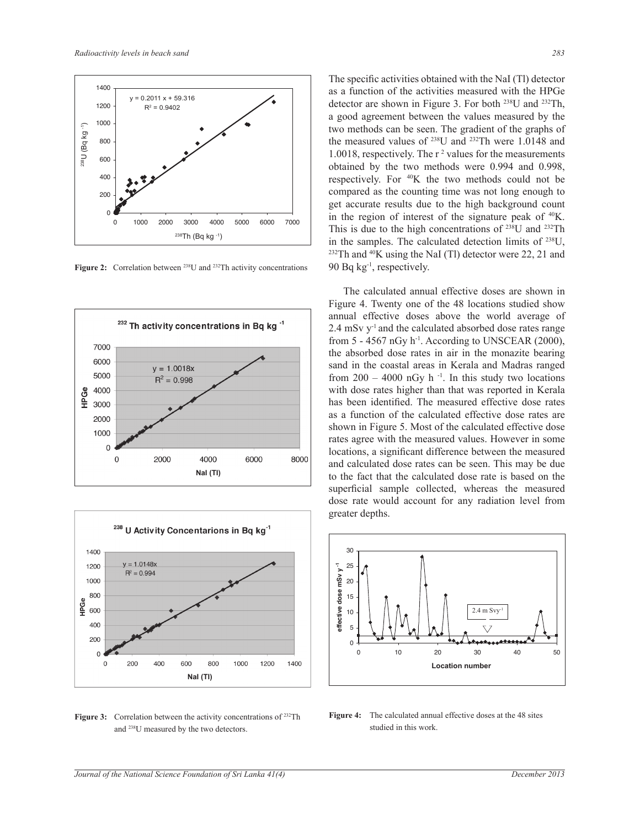

Figure 2: Correlation between <sup>238</sup>U and <sup>232</sup>Th activity concentrations





**Figure 3:** Correlation between the activity concentrations of <sup>232</sup>Th and <sup>238</sup>U measured by the two detectors.

The specific activities obtained with the NaI (Tl) detector as a function of the activities measured with the HPGe detector are shown in Figure 3. For both <sup>238</sup>U and <sup>232</sup>Th, a good agreement between the values measured by the two methods can be seen. The gradient of the graphs of the measured values of <sup>238</sup>U and <sup>232</sup>Th were 1.0148 and 1.0018, respectively. The r<sup>2</sup> values for the measurements obtained by the two methods were 0.994 and 0.998, respectively. For  $40K$  the two methods could not be compared as the counting time was not long enough to get accurate results due to the high background count in the region of interest of the signature peak of  $40K$ . This is due to the high concentrations of <sup>238</sup>U and <sup>232</sup>Th in the samples. The calculated detection limits of <sup>238</sup>U,  $232$ Th and  $40$ K using the NaI (Tl) detector were 22, 21 and 90 Bq  $kg^{-1}$ , respectively.

 The calculated annual effective doses are shown in Figure 4. Twenty one of the 48 locations studied show annual effective doses above the world average of 2.4 mSv y-1 and the calculated absorbed dose rates range from  $5 - 4567$  nGy  $h^{-1}$ . According to UNSCEAR (2000), the absorbed dose rates in air in the monazite bearing sand in the coastal areas in Kerala and Madras ranged from  $200 - 4000$  nGy h<sup>-1</sup>. In this study two locations with dose rates higher than that was reported in Kerala has been identified. The measured effective dose rates as a function of the calculated effective dose rates are shown in Figure 5. Most of the calculated effective dose rates agree with the measured values. However in some locations, a significant difference between the measured and calculated dose rates can be seen. This may be due to the fact that the calculated dose rate is based on the superficial sample collected, whereas the measured dose rate would account for any radiation level from greater depths.



**Figure 4:** The calculated annual effective doses at the 48 sites studied in this work.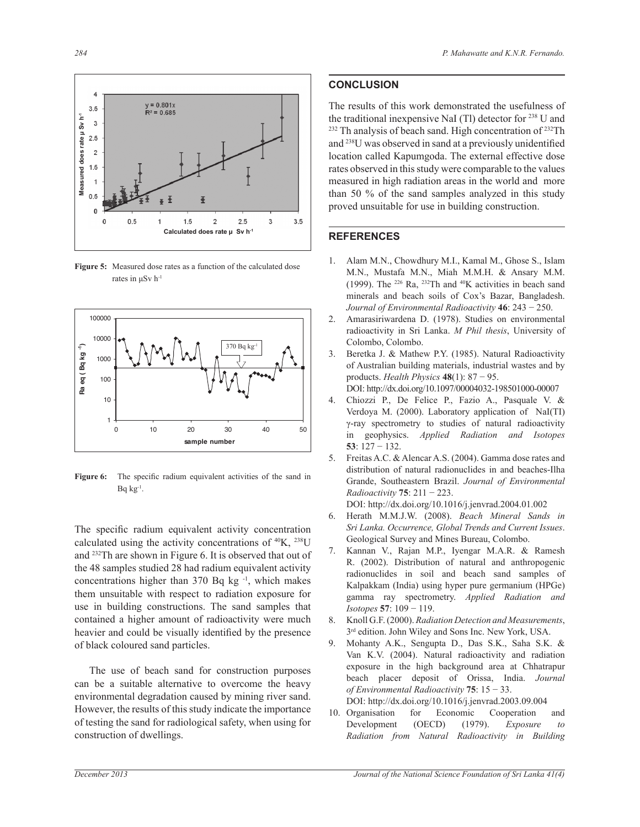4  $y = 0.801x$  $3.5$  $R^2 = 0.685$ **Measured does rate µ Sv h-1** Measured does rate µ Sv h<sup>-1</sup>  $\mathbf{3}$  $2.5$  $\overline{2}$  $1.5$  $0.5$  $\Omega$  $1.5$  $\overline{2}$  $2.5$  $\mathbf 0$  $0.5$ 3  $3.5$ **Calculated does rate µ Sv h-1**

**Figure 5:** Measured dose rates as a function of the calculated dose rates in μSv h-1



Figure 6: The specific radium equivalent activities of the sand in  $Bq kg^{-1}$ .

The specific radium equivalent activity concentration calculated using the activity concentrations of  ${}^{40}K$ ,  ${}^{238}U$ and <sup>232</sup>Th are shown in Figure 6. It is observed that out of the 48 samples studied 28 had radium equivalent activity concentrations higher than  $370$  Bq kg<sup>-1</sup>, which makes them unsuitable with respect to radiation exposure for use in building constructions. The sand samples that contained a higher amount of radioactivity were much heavier and could be visually identified by the presence of black coloured sand particles.

 The use of beach sand for construction purposes can be a suitable alternative to overcome the heavy environmental degradation caused by mining river sand. However, the results of this study indicate the importance of testing the sand for radiological safety, when using for construction of dwellings.

## **CONCLUSION**

The results of this work demonstrated the usefulness of the traditional inexpensive NaI (Tl) detector for <sup>238</sup> U and <sup>232</sup> Th analysis of beach sand. High concentration of <sup>232</sup>Th and <sup>238</sup>U was observed in sand at a previously unidentified location called Kapumgoda. The external effective dose rates observed in this study were comparable to the values measured in high radiation areas in the world and more than 50 % of the sand samples analyzed in this study proved unsuitable for use in building construction.

### **REFERENCES**

- 1. Alam M.N., Chowdhury M.I., Kamal M., Ghose S., Islam M.N., Mustafa M.N., Miah M.M.H. & Ansary M.M. (1999). The <sup>226</sup> Ra, <sup>232</sup>Th and <sup>40</sup>K activities in beach sand minerals and beach soils of Cox's Bazar, Bangladesh. *Journal of Environmental Radioactivity* **46**: 243 − 250.
- 2. Amarasiriwardena D. (1978). Studies on environmental radioactivity in Sri Lanka. *M Phil thesis*, University of Colombo, Colombo.
- 3. Beretka J. & Mathew P.Y. (1985). Natural Radioactivity of Australian building materials, industrial wastes and by products. *Health Physics* **48**(1): 87 − 95.

DOI: http://dx.doi.org/10.1097/00004032-198501000-00007

- 4. Chiozzi P., De Felice P., Fazio A., Pasquale V. & Verdoya M. (2000). Laboratory application of NaI(TI) γ-ray spectrometry to studies of natural radioactivity in geophysics. *Applied Radiation and Isotopes* **53**: 127 − 132.
- 5. Freitas A.C. & Alencar A.S. (2004). Gamma dose rates and distribution of natural radionuclides in and beaches-Ilha Grande, Southeastern Brazil. *Journal of Environmental Radioactivity* **75**: 211 − 223.

DOI: http://dx.doi.org/10.1016/j.jenvrad.2004.01.002

- 6. Herath M.M.J.W. (2008). *Beach Mineral Sands in Sri Lanka. Occurrence, Global Trends and Current Issues*. Geological Survey and Mines Bureau, Colombo.
- 7. Kannan V., Rajan M.P., Iyengar M.A.R. & Ramesh R. (2002). Distribution of natural and anthropogenic radionuclides in soil and beach sand samples of Kalpakkam (India) using hyper pure germanium (HPGe) gamma ray spectrometry. *Applied Radiation and Isotopes* **57**: 109 − 119.
- 8. Knoll G.F. (2000). *Radiation Detection and Measurements*, 3<sup>rd</sup> edition. John Wiley and Sons Inc. New York, USA.
- 9. Mohanty A.K., Sengupta D., Das S.K., Saha S.K. & Van K.V. (2004). Natural radioactivity and radiation exposure in the high background area at Chhatrapur beach placer deposit of Orissa, India. *Journal of Environmental Radioactivity* **75**: 15 − 33. DOI: http://dx.doi.org/10.1016/j.jenvrad.2003.09.004
- 10. Organisation for Economic Cooperation and Development (OECD) (1979). *Exposure to Radiation from Natural Radioactivity in Building*